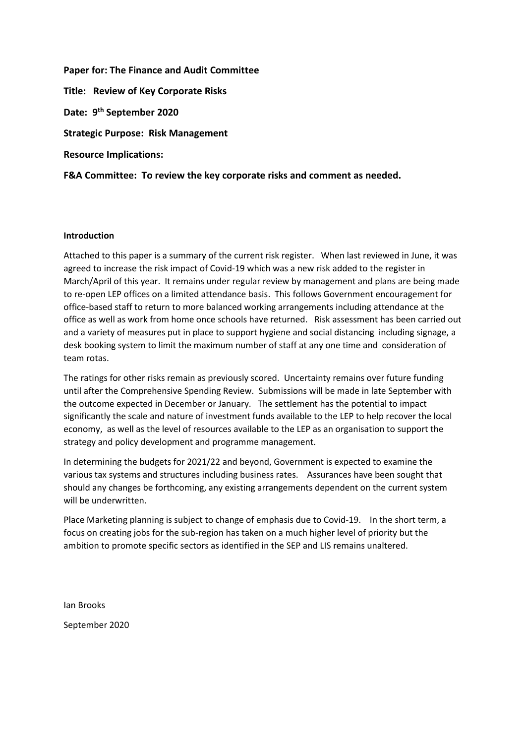**Paper for: The Finance and Audit Committee Title: Review of Key Corporate Risks Date: 9 th September 2020 Strategic Purpose: Risk Management Resource Implications: F&A Committee: To review the key corporate risks and comment as needed.** 

## **Introduction**

Attached to this paper is a summary of the current risk register. When last reviewed in June, it was agreed to increase the risk impact of Covid-19 which was a new risk added to the register in March/April of this year. It remains under regular review by management and plans are being made to re-open LEP offices on a limited attendance basis. This follows Government encouragement for office-based staff to return to more balanced working arrangements including attendance at the office as well as work from home once schools have returned. Risk assessment has been carried out and a variety of measures put in place to support hygiene and social distancing including signage, a desk booking system to limit the maximum number of staff at any one time and consideration of team rotas.

The ratings for other risks remain as previously scored. Uncertainty remains over future funding until after the Comprehensive Spending Review. Submissions will be made in late September with the outcome expected in December or January. The settlement has the potential to impact significantly the scale and nature of investment funds available to the LEP to help recover the local economy, as well as the level of resources available to the LEP as an organisation to support the strategy and policy development and programme management.

In determining the budgets for 2021/22 and beyond, Government is expected to examine the various tax systems and structures including business rates. Assurances have been sought that should any changes be forthcoming, any existing arrangements dependent on the current system will be underwritten.

Place Marketing planning is subject to change of emphasis due to Covid-19. In the short term, a focus on creating jobs for the sub-region has taken on a much higher level of priority but the ambition to promote specific sectors as identified in the SEP and LIS remains unaltered.

Ian Brooks September 2020